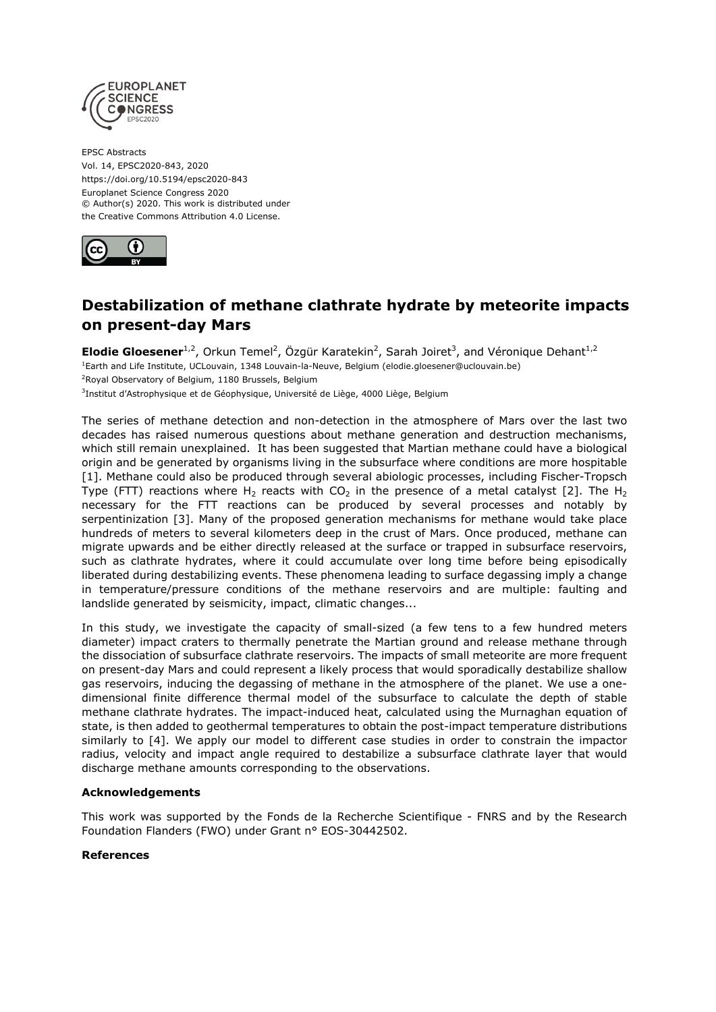

EPSC Abstracts Vol. 14, EPSC2020-843, 2020 https://doi.org/10.5194/epsc2020-843 Europlanet Science Congress 2020 © Author(s) 2020. This work is distributed under the Creative Commons Attribution 4.0 License.



## **Destabilization of methane clathrate hydrate by meteorite impacts on present-day Mars**

**Elodie Gloesener**<sup>1,2</sup>, Orkun Temel<sup>2</sup>, Özgür Karatekin<sup>2</sup>, Sarah Joiret<sup>3</sup>, and Véronique Dehant<sup>1,2</sup> <sup>1</sup>Earth and Life Institute, UCLouvain, 1348 Louvain-la-Neuve, Belgium (elodie.gloesener@uclouvain.be) <sup>2</sup>Royal Observatory of Belgium, 1180 Brussels, Belgium  $^3$ Institut d'Astrophysique et de Géophysique, Université de Liège, 4000 Liège, Belgium

The series of methane detection and non-detection in the atmosphere of Mars over the last two decades has raised numerous questions about methane generation and destruction mechanisms, which still remain unexplained. It has been suggested that Martian methane could have a biological origin and be generated by organisms living in the subsurface where conditions are more hospitable [1]. Methane could also be produced through several abiologic processes, including Fischer-Tropsch Type (FTT) reactions where H<sub>2</sub> reacts with CO<sub>2</sub> in the presence of a metal catalyst [2]. The H<sub>2</sub> necessary for the FTT reactions can be produced by several processes and notably by serpentinization [3]. Many of the proposed generation mechanisms for methane would take place hundreds of meters to several kilometers deep in the crust of Mars. Once produced, methane can migrate upwards and be either directly released at the surface or trapped in subsurface reservoirs, such as clathrate hydrates, where it could accumulate over long time before being episodically liberated during destabilizing events. These phenomena leading to surface degassing imply a change in temperature/pressure conditions of the methane reservoirs and are multiple: faulting and landslide generated by seismicity, impact, climatic changes...

In this study, we investigate the capacity of small-sized (a few tens to a few hundred meters diameter) impact craters to thermally penetrate the Martian ground and release methane through the dissociation of subsurface clathrate reservoirs. The impacts of small meteorite are more frequent on present-day Mars and could represent a likely process that would sporadically destabilize shallow gas reservoirs, inducing the degassing of methane in the atmosphere of the planet. We use a onedimensional finite difference thermal model of the subsurface to calculate the depth of stable methane clathrate hydrates. The impact-induced heat, calculated using the Murnaghan equation of state, is then added to geothermal temperatures to obtain the post-impact temperature distributions similarly to [4]. We apply our model to different case studies in order to constrain the impactor radius, velocity and impact angle required to destabilize a subsurface clathrate layer that would discharge methane amounts corresponding to the observations.

## **Acknowledgements**

This work was supported by the Fonds de la Recherche Scientifique - FNRS and by the Research Foundation Flanders (FWO) under Grant n° EOS-30442502.

## **References**